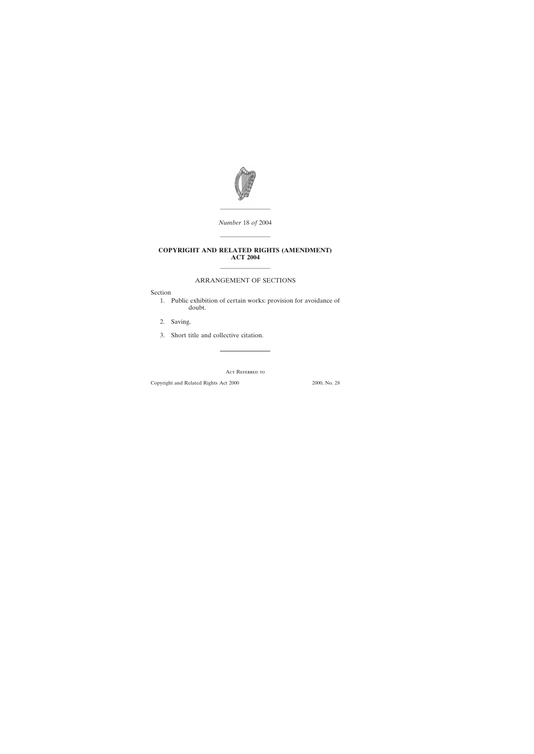

*Number* 18 *of* 2004

————————

## **COPYRIGHT AND RELATED RIGHTS (AMENDMENT) ACT 2004**

————————

## ———————— ARRANGEMENT OF SECTIONS

Section

- [1. Public exhibition of certain works: provision for avoidance of](#page-1-0) doubt.
- [2. Saving.](#page-1-0)
- [3. Short title and collective citation.](#page-1-0)

Act Referred to

Copyright and Related Rights Act 2000 2000, No. 28